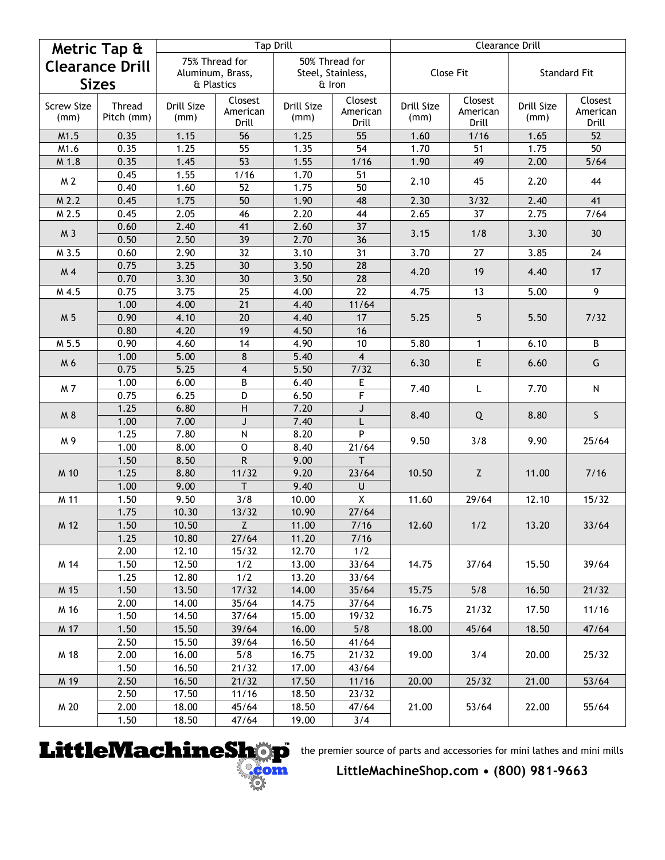| Metric Tap &           |               |                  |                          | <b>Tap Drill</b>   |                         | <b>Clearance Drill</b>    |                           |                     |                       |  |
|------------------------|---------------|------------------|--------------------------|--------------------|-------------------------|---------------------------|---------------------------|---------------------|-----------------------|--|
| <b>Clearance Drill</b> |               | 75% Thread for   |                          | 50% Thread for     |                         |                           |                           |                     |                       |  |
|                        |               | Aluminum, Brass, |                          | Steel, Stainless,  |                         | Close Fit                 |                           | <b>Standard Fit</b> |                       |  |
| <b>Sizes</b>           |               | & Plastics       |                          | & Iron             |                         |                           |                           |                     |                       |  |
| <b>Screw Size</b>      | <b>Thread</b> | Drill Size       | Closest                  | Drill Size         | Closest                 | Drill Size                | Closest                   | Drill Size          | Closest               |  |
| (mm)                   | Pitch (mm)    | (mm)             | American                 | (mm)               | American                | (mm)                      | American                  | (mm)                | American              |  |
|                        |               |                  | Drill                    |                    | Drill                   |                           | Drill                     |                     | Drill                 |  |
| M1.5<br>M1.6           | 0.35<br>0.35  | 1.15<br>1.25     | 56<br>55                 | 1.25<br>1.35       | 55<br>$\overline{54}$   | 1.60<br>$1.\overline{70}$ | 1/16<br>51                | 1.65<br>1.75        | 52<br>$\overline{50}$ |  |
| M 1.8                  | 0.35          | 1.45             | 53                       | 1.55               | 1/16                    | 1.90                      | 49                        | 2.00                | $5/64$                |  |
| M 2                    | 0.45          | 1.55             | 1/16                     | 1.70               | 51                      | 2.10                      | 45                        | 2.20                |                       |  |
|                        | 0.40          | 1.60             | 52                       | 1.75               | 50                      |                           |                           |                     | 44                    |  |
| M <sub>2.2</sub>       | 0.45          | 1.75             | 50                       | 1.90               | 48                      | 2.30                      | 3/32                      | 2.40                | 41                    |  |
| M 2.5                  | 0.45          | 2.05             | 46                       | 2.20               | 44                      | 2.65                      | 37                        | 2.75                | 7/64                  |  |
|                        | 0.60          | 2.40             | 41                       | 2.60               | 37                      | 3.15                      | 1/8                       | 3.30                | 30                    |  |
| M 3                    | 0.50          | 2.50             | 39                       | 2.70               | 36                      |                           |                           |                     |                       |  |
| M 3.5                  | 0.60          | 2.90             | 32                       | 3.10               | 31                      | 3.70                      | 27                        | 3.85                | 24                    |  |
| M 4                    | 0.75          | 3.25             | 30                       | 3.50               | 28                      |                           | 19                        | 4.40                | 17                    |  |
|                        | 0.70          | 3.30             | 30                       | 3.50               | 28                      | 4.20                      |                           |                     |                       |  |
| M 4.5                  | 0.75          | 3.75             | 25                       | 4.00               | 22                      | 4.75                      | 13                        | 5.00                | 9                     |  |
|                        | 1.00          | 4.00             | 21                       | 4.40               | 11/64                   |                           | 5                         | 5.50                | 7/32                  |  |
| M 5                    | 0.90          | 4.10             | 20                       | 4.40               | 17                      | 5.25                      |                           |                     |                       |  |
|                        | 0.80          | 4.20             | 19                       | 4.50               | 16                      |                           |                           |                     |                       |  |
| M 5.5                  | 0.90          | 4.60             | 14                       | 4.90               | 10                      | 5.80                      | $\mathbf{1}$              | 6.10                | B                     |  |
| M 6                    | 1.00          | 5.00             | $\bf 8$                  | 5.40               | $\overline{\mathbf{4}}$ | 6.30                      | E                         | 6.60                | G                     |  |
| M 7                    | 0.75          | 5.25             | $\overline{\mathbf{4}}$  | 5.50               | 7/32                    | 7.40<br>8.40              | L<br>Q                    | 7.70<br>8.80        | N<br>S.               |  |
|                        | 1.00          | 6.00             | B                        | 6.40               | E                       |                           |                           |                     |                       |  |
|                        | 0.75          | 6.25             | D                        | 6.50               | F                       |                           |                           |                     |                       |  |
| M 8                    | 1.25          | 6.80             | $\overline{H}$           | 7.20               | J                       |                           |                           |                     |                       |  |
|                        | 1.00          | 7.00             | J                        | 7.40               |                         | 9.50                      | 3/8                       | 9.90                | 25/64                 |  |
| M9                     | 1.25          | 7.80             | $\overline{\mathsf{N}}$  | 8.20               | P                       |                           |                           |                     |                       |  |
|                        | 1.00<br>1.50  | 8.00<br>8.50     | $\mathbf 0$<br>${\sf R}$ | 8.40<br>9.00       | 21/64<br>T              |                           |                           |                     |                       |  |
| M 10<br>M 11           | 1.25          | 8.80             | 11/32                    | 9.20               | 23/64                   | 10.50                     | $\ensuremath{\mathsf{Z}}$ | 11.00               | $7/16$<br>15/32       |  |
|                        | 1.00          | 9.00             | T                        | 9.40               | U                       |                           |                           |                     |                       |  |
|                        | 1.50          | 9.50             | 3/8                      | 10.00              | X                       | 11.60                     | 29/64                     | 12.10               |                       |  |
|                        | 1.75          | 10.30            | 13/32                    | 10.90              | 27/64                   |                           |                           |                     |                       |  |
| M 12                   | 1.50          | 10.50            | $\overline{z}$           | 11.00              | 7/16                    | 12.60                     | 1/2                       | 13.20               | 33/64                 |  |
|                        | 1.25          | 10.80            | 27/64                    | 11.20              | $7/16$                  |                           |                           |                     |                       |  |
| M 14                   | 2.00          | 12.10            | 15/32                    | 12.70              | 1/2                     | 14.75                     | 37/64                     | 15.50               | 39/64                 |  |
|                        | 1.50          | 12.50            | 1/2                      | 13.00              | 33/64                   |                           |                           |                     |                       |  |
|                        | 1.25          | 12.80            | 1/2                      | 13.20              | 33/64                   |                           |                           |                     |                       |  |
| M 15                   | 1.50          | 13.50            | 17/32                    | 14.00              | 35/64                   | 15.75                     | 5/8                       | 16.50               | 21/32                 |  |
| M 16                   | 2.00          | 14.00            | 35/64                    | 14.75              | 37/64                   |                           |                           |                     |                       |  |
|                        | 1.50          | 14.50            | 37/64                    | 15.00              | 19/32                   | 16.75                     | 21/32                     | 17.50               | 11/16                 |  |
| M 17                   | 1.50          | 15.50            | 39/64                    | 16.00              | 5/8                     | 18.00                     | 45/64                     | 18.50               | 47/64                 |  |
| M 18                   | 2.50          | 15.50            | 39/64                    | 16.50              | 41/64                   | 19.00                     | 3/4                       | 20.00               | 25/32                 |  |
|                        | 2.00          | 16.00            | 5/8                      | 16.75              | 21/32                   |                           |                           |                     |                       |  |
|                        | 1.50          | 16.50            | 21/32                    | 17.00              | 43/64                   |                           |                           |                     |                       |  |
| M 19                   | 2.50          | 16.50            | 21/32                    | 17.50              | 11/16                   | 20.00                     | 25/32                     | 21.00               | 53/64                 |  |
| M 20                   | 2.50          | 17.50            | 11/16                    | 18.50              | 23/32                   |                           | 53/64                     | 22.00               | 55/64                 |  |
|                        | 2.00          | 18.00            | 45/64                    | 18.50              | 47/64                   | 21.00                     |                           |                     |                       |  |
|                        | 1.50          | 18.50            | 47/64                    | $\overline{19.00}$ | 3/4                     |                           |                           |                     |                       |  |



the premier source of parts and accessories for mini lathes and mini mills

**LittleMachineShop.com • (800) 981-9663**